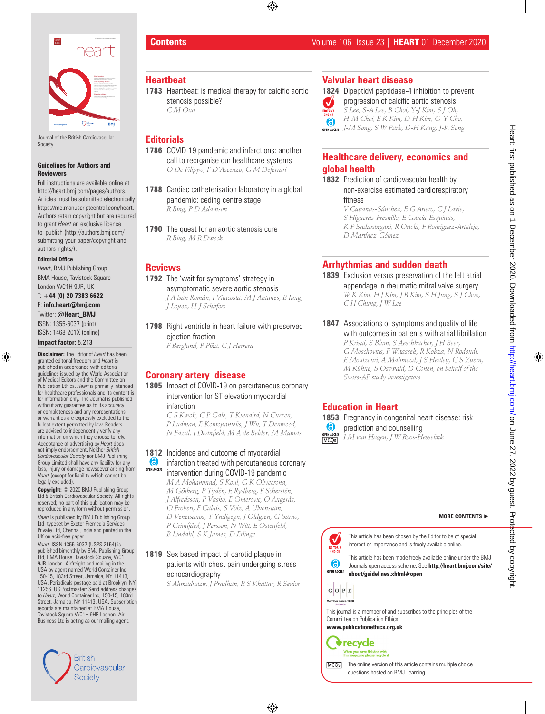

Journal of the British Cardiovascular Society

#### **Guidelines for Authors and Reviewers**

Full instructions are available online at http://heart.bmj.com/pages/authors. Articles must be submitted electronically https://mc.manuscriptcentral.com/heart. Authors retain copyright but are required to grant *Heart* an exclusive licence to publish (http://authors.bmj.com/ submitting-your-paper/copyright-andauthors-rights/).

#### **Editorial Office**

*Heart*, BMJ Publishing Group BMA House, Tavistock Square London WC1H 9JR, UK

T: **+44 (0) 20 7383 6622**  E: **info.heart@bmj.com**  Twitter: **@Heart\_BMJ**

ISSN: 1355-6037 (print) ISSN: 1468-201X (online)

#### **Impact factor:** 5.213

**Disclaimer:** The Editor of *Heart* has been granted editorial freedom and *Heart* is published in accordance with editorial guidelines issued by the World Association of Medical Editors and the Committee on Publication Ethics. *Heart* is primarily intended for healthcare professionals and its content is for information only. The Journal is published without any guarantee as to its accuracy or completeness and any representations or warranties are expressly excluded to the fullest extent permitted by law. Readers are advised to independently verify any information on which they choose to rely. Acceptance of advertising by *Heart* does not imply endorsement. Neither *British Cardiovascular Society* nor BMJ Publishing Group Limited shall have any liability for any loss, injury or damage howsoever arising from *Heart* (except for liability which cannot be legally excluded).

**Copyright:** © 2020 BMJ Publishing Group Ltd & British Cardiovascular Society. All rights reserved; no part of this publication may be reproduced in any form without permission.

*Heart* is published by BMJ Publishing Group Ltd, typeset by Exeter Premedia Services Private Ltd, Chennai, India and printed in the UK on acid-free paper.

*Heart,* ISSN 1355-6037 (USPS 2154) is published bimonthly by BMJ Publishing Group Ltd, BMA House, Tavistock Square, WC1H 9JR London. Airfreight and mailing in the USA by agent named World Container Inc, 150-15, 183rd Street, Jamaica, NY 11413, USA. Periodicals postage paid at Brooklyn, NY 11256. US Postmaster: Send address changes to *Heart*, World Container Inc, 150-15, 183rd Street, Jamaica, NY 11413, USA. Subscription records are maintained at BMA House, Tavistock Square WC1H 9HR Lodnon. Air Business Ltd is acting as our mailing agent*.*



## **Heartbeat**

**1783** Heartbeat: is medical therapy for calcific aortic stenosis possible? *C M Otto*

### **Editorials**

- **1786** COVID-19 pandemic and infarctions: another call to reorganise our healthcare systems *O De Filippo, F D'Ascenzo, G M Deferrari*
- **1788** Cardiac catheterisation laboratory in a global pandemic: ceding centre stage *R Bing, P D Adamson*
- **1790** The quest for an aortic stenosis cure *R Bing, M R Dweck*

### **Reviews**

- **1792** The 'wait for symptoms' strategy in asymptomatic severe aortic stenosis *J A San Román, I Vilacosta, M J Antunes, B Iung, J Lopez, H-J Schäfers*
- **1798** Right ventricle in heart failure with preserved ejection fraction *F Berglund, P Piña, C J Herrera*

## **Coronary artery disease**

**1805** Impact of COVID-19 on percutaneous coronary intervention for ST-elevation myocardial infarction

*C S Kwok, C P Gale, T Kinnaird, N Curzen, P Ludman, E Kontopantelis, J Wu, T Denwood, N Fazal, J Deanfield, M A de Belder, M Mamas*

#### **1812** Incidence and outcome of myocardial

- **6** infarction treated with percutaneous coronary **OPEN ACCESS** intervention during COVID-19 pandemic
	- *M A Mohammad, S Koul, G K Olivecrona, M Gӧtberg, P Tydén, E Rydberg, F Scherstén, J Alfredsson, P Vasko, E Omerovic, O Angerås, O Fröbert, F Calais, S Völz, A Ulvenstam, D Venetsanos, T Yndigegn, J Oldgren, G Sarno, P Grimfjärd, J Persson, N Witt, E Ostenfeld, B Lindahl, S K James, D Erlinge*

#### **1819** Sex-based impact of carotid plaque in patients with chest pain undergoing stress echocardiography

*S Ahmadvazir, J Pradhan, R S Khattar, R Senior*

## **Valvular heart disease**

**1824** Dipeptidyl peptidase-4 inhibition to prevent progression of calcific aortic stenosis  $\overline{\mathsf{v}}$ *S Lee, S-A Lee, B Choi, Y-J Kim, S J Oh, H-M Choi, E K Kim, D-H Kim, G-Y Cho,*  இ *J-M Song, S W Park, D-H Kang, J-K Song*

# **Healthcare delivery, economics and global health**

- **1832** Prediction of cardiovascular health by non-exercise estimated cardiorespiratory fitness
	- *V Cabanas-Sánchez, E G Artero, C J Lavie, S Higueras-Fresnillo, E García-Esquinas, K P Sadarangani, R Ortolá, F Rodríguez-Artalejo, D Martínez-Gómez*

# **Arrhythmias and sudden death**

- **1839** Exclusion versus preservation of the left atrial appendage in rheumatic mitral valve surgery *W K Kim, H J Kim, J B Kim, S H Jung, S J Choo, C H Chung, J W Lee*
- **1847** Associations of symptoms and quality of life with outcomes in patients with atrial fibrillation *P Krisai, S Blum, S Aeschbacher, J H Beer, G Moschovitis, F Witassek, R Kobza, N Rodondi, E Moutzouri, A Mahmood, J S Healey, C S Zuern, M Kühne, S Osswald, D Conen, on behalf of the Swiss-AF study investigators*

## **Education in Heart**

**1853** Pregnancy in congenital heart disease: risk 6) prediction and counselling

**OPEN ACCESS** *I M van Hagen, J W Roos-Hesselink* MCO<sub>S</sub>

This article has been chosen by the Editor to be of special  $\checkmark$ interest or importance and is freely available online. EDITOR'S<br>CHOICE

This article has been made freely available online under the BMJ Journals open access scheme. See **http://heart.bmj.com/site/ OPEN ACCESS about/guidelines.xhtml#open**

 $C$  O  $P$  E **Member since 2008 JM00008**

க



**www.publicationethics.org.uk**

 $\blacklozenge$  recycle When you have finished with<br>this magazine please recycle it.



The online version of this article contains multiple choice MCO<sub>s</sub> questions hosted on BMJ Learning.